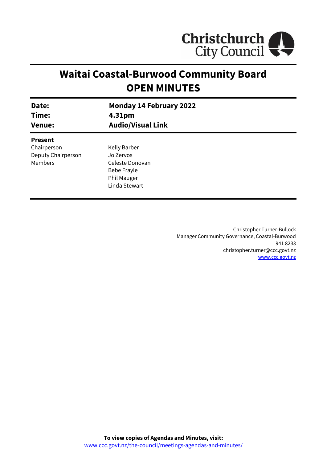

# **Waitai Coastal-Burwood Community Board OPEN MINUTES**

| Date:                                                          | <b>Monday 14 February 2022</b>                                                                     |
|----------------------------------------------------------------|----------------------------------------------------------------------------------------------------|
| Time:                                                          | 4.31pm                                                                                             |
| <b>Venue:</b>                                                  | <b>Audio/Visual Link</b>                                                                           |
| <b>Present</b><br>Chairperson<br>Deputy Chairperson<br>Members | Kelly Barber<br>Jo Zervos<br>Celeste Donovan<br>Bebe Frayle<br><b>Phil Mauger</b><br>Linda Stewart |

Christopher Turner-Bullock Manager Community Governance, Coastal-Burwood 941 8233 christopher.turner@ccc.govt.nz [www.ccc.govt.nz](http://www.ccc.govt.nz/)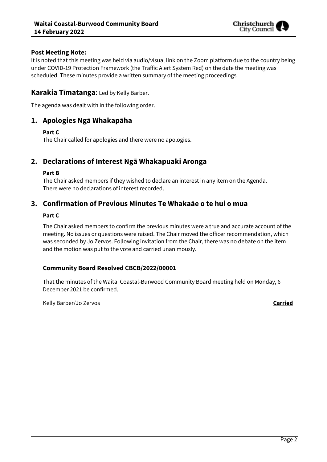

### **Post Meeting Note:**

It is noted that this meeting was held via audio/visual link on the Zoom platform due to the country being under COVID-19 Protection Framework (the Traffic Alert System Red) on the date the meeting was scheduled. These minutes provide a written summary of the meeting proceedings.

# **Karakia Tīmatanga**: Led by Kelly Barber.

The agenda was dealt with in the following order.

# **1. Apologies Ngā Whakapāha**

#### **Part C**

The Chair called for apologies and there were no apologies.

# **2. Declarations of Interest Ngā Whakapuaki Aronga**

#### **Part B**

The Chair asked members if they wished to declare an interest in any item on the Agenda. There were no declarations of interest recorded.

# **3. Confirmation of Previous Minutes Te Whakaāe o te hui o mua**

#### **Part C**

The Chair asked members to confirm the previous minutes were a true and accurate account of the meeting. No issues or questions were raised. The Chair moved the officer recommendation, which was seconded by Jo Zervos. Following invitation from the Chair, there was no debate on the item and the motion was put to the vote and carried unanimously.

### **Community Board Resolved CBCB/2022/00001**

That the minutes of the Waitai Coastal-Burwood Community Board meeting held on Monday, 6 December 2021 be confirmed.

Kelly Barber/Jo Zervos **Carried**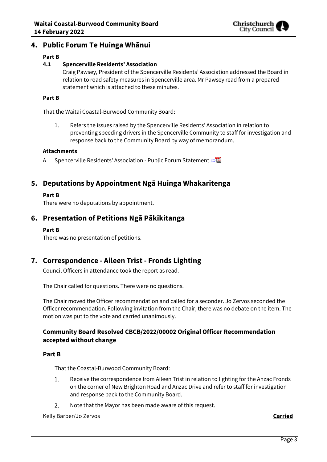

# **4. Public Forum Te Huinga Whānui**

#### **Part B**

#### **4.1 Spencerville Residents' Association**

Craig Pawsey, President of the Spencerville Residents' Association addressed the Board in relation to road safety measures in Spencerville area. Mr Pawsey read from a prepared statement which is attached to these minutes.

#### **Part B**

That the Waitai Coastal-Burwood Community Board:

1. Refers the issues raised by the Spencerville Residents' Association in relation to preventing speeding drivers in the Spencerville Community to staff for investigation and response back to the Community Board by way of memorandum.

#### **Attachments**

A Spencerville Residents' Association - Public Forum Statement **[⇨](../../../RedirectToInvalidFileName.aspx?FileName=CBCB_20220214_MAT_7682.PDF#PAGE=3)</u>** 

# **5. Deputations by Appointment Ngā Huinga Whakaritenga**

#### **Part B**

There were no deputations by appointment.

# **6. Presentation of Petitions Ngā Pākikitanga**

#### **Part B**

There was no presentation of petitions.

# **7. Correspondence - Aileen Trist - Fronds Lighting**

Council Officers in attendance took the report as read.

The Chair called for questions. There were no questions.

The Chair moved the Officer recommendation and called for a seconder. Jo Zervos seconded the Officer recommendation. Following invitation from the Chair, there was no debate on the item. The motion was put to the vote and carried unanimously.

### **Community Board Resolved CBCB/2022/00002 Original Officer Recommendation accepted without change**

#### **Part B**

That the Coastal-Burwood Community Board:

- $1.$ Receive the correspondence from Aileen Trist in relation to lighting for the Anzac Fronds on the corner of New Brighton Road and Anzac Drive and refer to staff for investigation and response back to the Community Board.
- Note that the Mayor has been made aware of this request.  $2.$

Kelly Barber/Jo Zervos **Carried**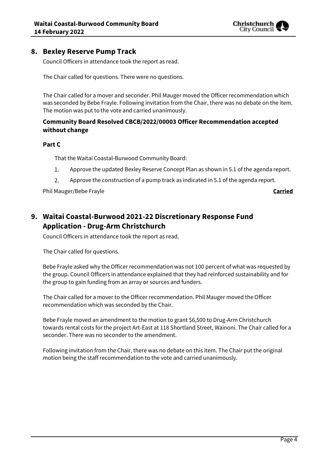

# **8. Bexley Reserve Pump Track**

Council Officers in attendance took the report as read.

The Chair called for questions. There were no questions.

The Chair called for a mover and seconder. Phil Mauger moved the Officer recommendation which was seconded by Bebe Frayle. Following invitation from the Chair, there was no debate on the item. The motion was put to the vote and carried unanimously.

# **Community Board Resolved CBCB/2022/00003 Officer Recommendation accepted without change**

#### **Part C**

That the Waitai Coastal-Burwood Community Board:

- 1. Approve the updated Bexley Reserve Concept Plan as shown in 5.1 of the agenda report.
- 2. Approve the construction of a pump track as indicated in 5.1 of the agenda report.

Phil Mauger/Bebe Frayle **Carried**

# **9. Waitai Coastal-Burwood 2021-22 Discretionary Response Fund Application - Drug-Arm Christchurch**

Council Officers in attendance took the report as read.

The Chair called for questions.

Bebe Frayle asked why the Officer recommendation was not 100 percent of what was requested by the group. Council Officers in attendance explained that they had reinforced sustainability and for the group to gain funding from an array or sources and funders.

The Chair called for a mover to the Officer recommendation. Phil Mauger moved the Officer recommendation which was seconded by the Chair.

Bebe Frayle moved an amendment to the motion to grant \$6,500 to Drug-Arm Christchurch towards rental costs for the project Art-East at 118 Shortland Street, Wainoni. The Chair called for a seconder. There was no seconder to the amendment.

Following invitation from the Chair, there was no debate on this item. The Chair put the original motion being the staff recommendation to the vote and carried unanimously.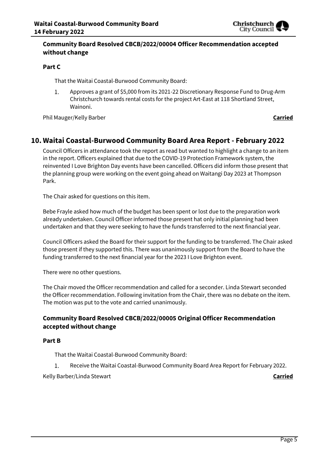

# **Community Board Resolved CBCB/2022/00004 Officer Recommendation accepted without change**

#### **Part C**

That the Waitai Coastal-Burwood Community Board:

1. Approves a grant of \$5,000 from its 2021-22 Discretionary Response Fund to Drug-Arm Christchurch towards rental costs for the project Art-East at 118 Shortland Street, Wainoni.

Phil Mauger/Kelly Barber **Carried**

# **10. Waitai Coastal-Burwood Community Board Area Report - February 2022**

Council Officers in attendance took the report as read but wanted to highlight a change to an item in the report. Officers explained that due to the COVID-19 Protection Framework system, the reinvented I Love Brighton Day events have been cancelled. Officers did inform those present that the planning group were working on the event going ahead on Waitangi Day 2023 at Thompson Park.

The Chair asked for questions on this item.

Bebe Frayle asked how much of the budget has been spent or lost due to the preparation work already undertaken. Council Officer informed those present hat only initial planning had been undertaken and that they were seeking to have the funds transferred to the next financial year.

Council Officers asked the Board for their support for the funding to be transferred. The Chair asked those present if they supported this. There was unanimously support from the Board to have the funding transferred to the next financial year for the 2023 I Love Brighton event.

There were no other questions.

The Chair moved the Officer recommendation and called for a seconder. Linda Stewart seconded the Officer recommendation. Following invitation from the Chair, there was no debate on the item. The motion was put to the vote and carried unanimously.

# **Community Board Resolved CBCB/2022/00005 Original Officer Recommendation accepted without change**

#### **Part B**

That the Waitai Coastal-Burwood Community Board:

Receive the Waitai Coastal-Burwood Community Board Area Report for February 2022. 1.

Kelly Barber/Linda Stewart **Carried**